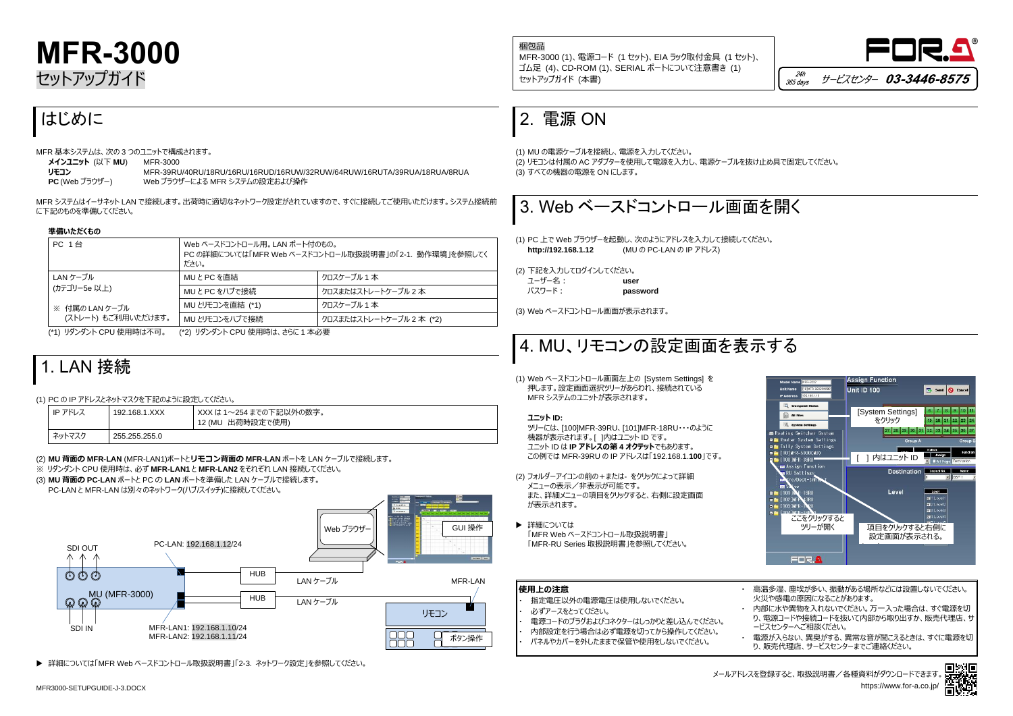





# **MFR-3000** セットアップガイド

## はじめに

MFR 基本システムは、次の 3 つのユニットで構成されます。

| メインユニット (以下 MU)      | MFR-3000 |
|----------------------|----------|
| リモコン                 | MFR-39Rl |
| $PC$ (Web $T=TH+T$ ) | Mah ブラウ  |

**リモコン** MFR-39RU/40RU/18RU/16RU/16RUD/16RUW/32RUW/64RUW/16RUTA/39RUA/18RUA/8RUA **PC** (Web ブラウザー) Web ブラウザーによる MFR システムの設定および操作

MFR システムはイーサネット LAN で接続します。出荷時に適切なネットワーク設定がされていますので、すぐに接続してご使用いただけます。システム接続前 に下記のものを準備してください。

#### **準備いただくもの**

| <b>PC 1台</b>                          | Web ベースドコントロール用。 LAN ポート付のもの。<br>PC の詳細については「MFR Web ベースドコントロール取扱説明書」の「2-1. 動作環境」を参照してく<br>ださい。 |                         |
|---------------------------------------|-------------------------------------------------------------------------------------------------|-------------------------|
| LAN ケーブル                              | MUとPCを直結                                                                                        | クロスケーブル 1 本             |
| (カテゴリー5e 以上)                          | MUとPCをハブで接続                                                                                     | クロスまたはストレートケーブル 2 本     |
| ※ 付属の LAN ケーブル<br>(ストレート) もご利用いただけます。 | MU とリモコンを直結 (*1)                                                                                | クロスケーブル 1 本             |
|                                       | MU とリモコンをハブで接続                                                                                  | クロスまたはストレートケーブル 2本 (*2) |

(\*1) リダンダント CPU 使用時は不可。 (\*2) リダンダント CPU 使用時は、さらに 1 本必要

### 1. LAN 接続

(1) PC の IP アドレスとネットマスクを下記のように設定してください。

| IP アドレス | 192.168.1.XXX | XXX は 1~254 までの下記以外の数字。<br>12 (MU 出荷時設定で使用) |
|---------|---------------|---------------------------------------------|
| ネットマスク  | 255.255.255.0 |                                             |

(2) **MU 背面の MFR-LAN** (MFR-LAN1)ポートと**リモコン背面の MFR-LAN** ポートを LAN ケーブルで接続します。

- ※ リダンダント CPU 使用時は、必ず **MFR-LAN1** と **MFR-LAN2** をそれぞれ LAN 接続してください。
- (3) **MU 背面の PC-LAN** ポートと PC の **LAN** ポートを準備した LAN ケーブルで接続します。 PC-LAN と MFR-LAN は別々のネットワーク(ハブ/スイッチ)に接続してください。

多湿、塵埃が多い、振動がある場所などには設置しないでください。 火災や感電の原因になることがあります。

詳細については「MFR Web ベースドコントロール取扱説明書」「2-3. ネットワーク設定」を参照してください。

に水や異物を入れないでください。万一入った場合は、すぐ電源を切 り、電源コードや接続コードを抜いて内部から取り出すか、販売代理店、サ ービスセンターへご相談ください。

・ 電源が入らない、異臭がする、異常な音が聞こえるときは、すぐに電源を切 う売代理店、サービスセンターまでご連絡ください。

### 2. 電源 ON

(1) MU の電源ケーブルを接続し、電源を入力してください。 (2) リモコンは付属の AC アダプターを使用して電源を入力し、電源ケーブルを抜け止め具で固定してください。 (3) すべての機器の電源を ON にします。



メールアドレスを登録すると、取扱説明書/各種資料がダウンロードできます。 https://www.for-a.co.jp



(1) PC 上で Web ブラウザーを起動し、次のようにアドレスを入力して接続してください。 **http://192.168.1.12** (MU の PC-LAN の IP アドレス)

(2) 下記を入力してログインしてください。 ユーザー名: **user** パスワード: **password**

(3) Web ベースドコントロール画面が表示されます。

# 4. MU、リモコンの設定画面を表示する

(1) Web ベースドコントロール画面左上の [System Settings] を 押します。設定画面選択ツリーがあらわれ、接続されている MFR システムのユニットが表示されます。

**ユニット ID:**

ツリーには、[100]MFR-39RU、[101]MFR-18RU・・・のように 機器が表示されます。[ ]内はユニット ID です。 ユニット ID は **IP アドレスの第 4 オクテット**でもあります。 この例では MFR-39RU の IP アドレスは「192.168.1.**100**」です。

- (2) フォルダーアイコンの前の+または- をクリックによって詳細 メニューの表示/非表示が可能です。 また、詳細メニューの項目をクリックすると、右側に設定画面 が表示されます。
- ▶ 詳細については 「MFR Web ベースドコントロール取扱説明書」 「MFR-RU Series 取扱説明書」を参照してください。

| <b> 使用上の注意</b>                                                                                      | 高温<br>火災\       |
|-----------------------------------------------------------------------------------------------------|-----------------|
| 指定電圧以外の電源電圧は使用しないでください。<br>必ずアースをとってください。                                                           | 内部に<br>り、雷:     |
| 電源コードのプラグおよびコネクターはしっかりと差し込んでください。<br>内部設定を行う場合は必ず電源を切ってから操作してください。<br>パネルやカバーを外したままで保管や使用をしないでください。 | ードス<br>電源が<br>販 |





梱包品 MFR-3000 (1)、電源コード (1 セット)、EIA ラック取付金具 (1 セット)、 ゴム足 (4)、CD-ROM (1)、SERIAL ポートについて注意書き (1) セットアップガイド (本書)